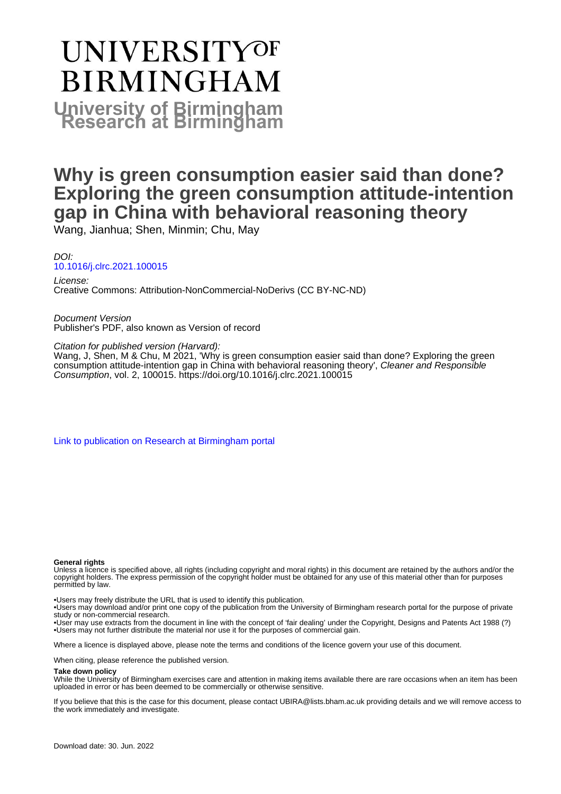# **UNIVERSITYOF BIRMINGHAM University of Birmingham**

## **Why is green consumption easier said than done? Exploring the green consumption attitude-intention gap in China with behavioral reasoning theory**

Wang, Jianhua; Shen, Minmin; Chu, May

DOI: [10.1016/j.clrc.2021.100015](https://doi.org/10.1016/j.clrc.2021.100015)

License: Creative Commons: Attribution-NonCommercial-NoDerivs (CC BY-NC-ND)

Document Version Publisher's PDF, also known as Version of record

Citation for published version (Harvard):

Wang, J, Shen, M & Chu, M 2021, 'Why is green consumption easier said than done? Exploring the green consumption attitude-intention gap in China with behavioral reasoning theory', Cleaner and Responsible Consumption, vol. 2, 100015. <https://doi.org/10.1016/j.clrc.2021.100015>

[Link to publication on Research at Birmingham portal](https://birmingham.elsevierpure.com/en/publications/7572523f-91d4-412c-a9df-d74c89ac802a)

#### **General rights**

Unless a licence is specified above, all rights (including copyright and moral rights) in this document are retained by the authors and/or the copyright holders. The express permission of the copyright holder must be obtained for any use of this material other than for purposes permitted by law.

• Users may freely distribute the URL that is used to identify this publication.

• Users may download and/or print one copy of the publication from the University of Birmingham research portal for the purpose of private study or non-commercial research.

• User may use extracts from the document in line with the concept of 'fair dealing' under the Copyright, Designs and Patents Act 1988 (?) • Users may not further distribute the material nor use it for the purposes of commercial gain.

Where a licence is displayed above, please note the terms and conditions of the licence govern your use of this document.

When citing, please reference the published version.

#### **Take down policy**

While the University of Birmingham exercises care and attention in making items available there are rare occasions when an item has been uploaded in error or has been deemed to be commercially or otherwise sensitive.

If you believe that this is the case for this document, please contact UBIRA@lists.bham.ac.uk providing details and we will remove access to the work immediately and investigate.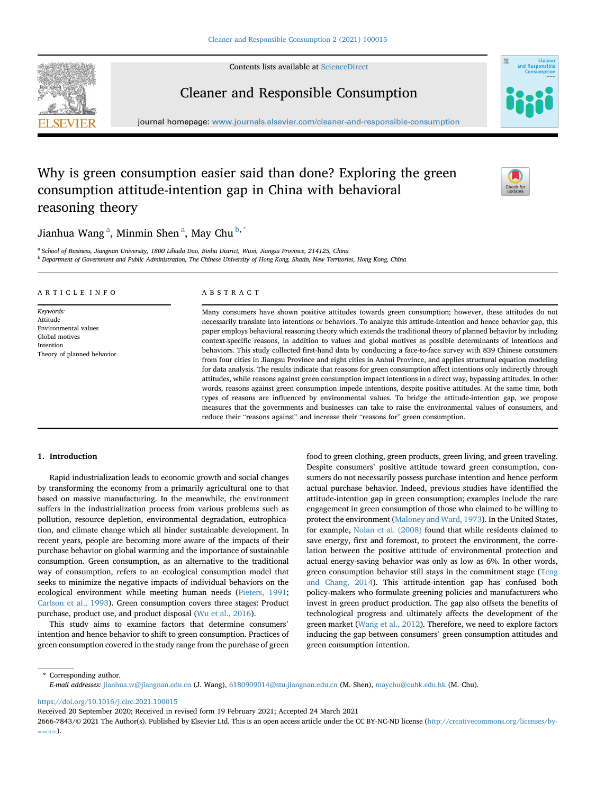Contents lists available at [ScienceDirect](www.sciencedirect.com/science/journal/26667843)





Cleaner and Responsible Consumption

journal homepage: <www.journals.elsevier.com/cleaner-and-responsible-consumption>

### Why is green consumption easier said than done? Exploring the green consumption attitude-intention gap in China with behavioral reasoning theory



### Ji[a](#page-1-0)nhua Wang<sup>a</sup>, Minmin Shen<sup>a</sup>, May Chu<sup>[b](#page-1-1),[\\*](#page-1-2)</sup>

<span id="page-1-1"></span><span id="page-1-0"></span>a School of Business, Jiangnan University, 1800 Lihuda Dao, Binhu District, Wuxi, Jiangsu Province, 214125, China **b** Department of Government and Public Administration, The Chinese University of Hong Kong, Shatin, New Territories, Hong Kong, China

#### ARTICLE INFO Keywords: Attitude Environmental values Global motives Intention Theory of planned behavior ABSTRACT Many consumers have shown positive attitudes towards green consumption; however, these attitudes do not necessarily translate into intentions or behaviors. To analyze this attitude-intention and hence behavior gap, this paper employs behavioral reasoning theory which extends the traditional theory of planned behavior by including context-specific reasons, in addition to values and global motives as possible determinants of intentions and behaviors. This study collected first-hand data by conducting a face-to-face survey with 839 Chinese consumers from four cities in Jiangsu Province and eight cities in Anhui Province, and applies structural equation modeling for data analysis. The results indicate that reasons for green consumption affect intentions only indirectly through attitudes, while reasons against green consumption impact intentions in a direct way, bypassing attitudes. In other words, reasons against green consumption impede intentions, despite positive attitudes. At the same time, both types of reasons are influenced by environmental values. To bridge the attitude-intention gap, we propose

#### 1. Introduction

Rapid industrialization leads to economic growth and social changes by transforming the economy from a primarily agricultural one to that based on massive manufacturing. In the meanwhile, the environment suffers in the industrialization process from various problems such as pollution, resource depletion, environmental degradation, eutrophication, and climate change which all hinder sustainable development. In recent years, people are becoming more aware of the impacts of their purchase behavior on global warming and the importance of sustainable consumption. Green consumption, as an alternative to the traditional way of consumption, refers to an ecological consumption model that seeks to minimize the negative impacts of individual behaviors on the ecological environment while meeting human needs [\(Pieters, 1991;](#page-10-0) [Carlson et al., 1993](#page-9-0)). Green consumption covers three stages: Product purchase, product use, and product disposal ([Wu et al., 2016\)](#page-10-1).

This study aims to examine factors that determine consumers' intention and hence behavior to shift to green consumption. Practices of green consumption covered in the study range from the purchase of green food to green clothing, green products, green living, and green traveling. Despite consumers' positive attitude toward green consumption, consumers do not necessarily possess purchase intention and hence perform actual purchase behavior. Indeed, previous studies have identified the attitude-intention gap in green consumption; examples include the rare engagement in green consumption of those who claimed to be willing to protect the environment ([Maloney and Ward, 1973\)](#page-9-1). In the United States, for example, [Nolan et al. \(2008\)](#page-10-2) found that while residents claimed to save energy, first and foremost, to protect the environment, the correlation between the positive attitude of environmental protection and actual energy-saving behavior was only as low as 6%. In other words, green consumption behavior still stays in the commitment stage [\(Teng](#page-10-3) [and Chang, 2014\)](#page-10-3). This attitude-intention gap has confused both policy-makers who formulate greening policies and manufacturers who invest in green product production. The gap also offsets the benefits of technological progress and ultimately affects the development of the green market [\(Wang et al., 2012\)](#page-10-4). Therefore, we need to explore factors inducing the gap between consumers' green consumption attitudes and green consumption intention.

measures that the governments and businesses can take to raise the environmental values of consumers, and

reduce their "reasons against" and increase their "reasons for" green consumption.

<span id="page-1-2"></span>\* Corresponding author. E-mail addresses: [jianhua.w@jiangnan.edu.cn](mailto:jianhua.w@jiangnan.edu.cn) (J. Wang), [6180909014@stu.jiangnan.edu.cn](mailto:6180909014@stu.jiangnan.edu.cn) (M. Shen), [maychu@cuhk.edu.hk](mailto:maychu@cuhk.edu.hk) (M. Chu).

<https://doi.org/10.1016/j.clrc.2021.100015>

Received 20 September 2020; Received in revised form 19 February 2021; Accepted 24 March 2021

<sup>2666-7843/</sup>© 2021 The Author(s). Published by Elsevier Ltd. This is an open access article under the CC BY-NC-ND license [\(http://creativecommons.org/licenses/by](http://creativecommons.org/licenses/by-nc-nd/4.0/) $nc\text{-}nd/4.0/$ ).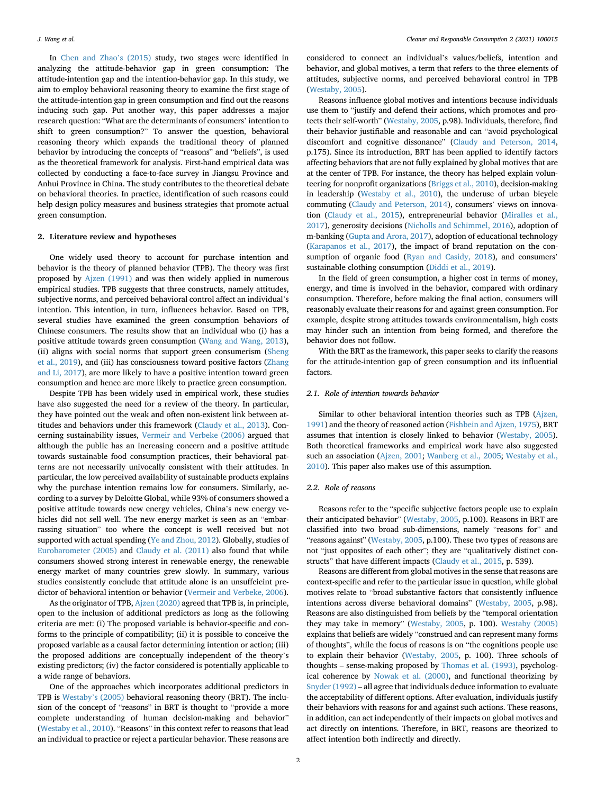In [Chen and Zhao](#page-9-2)'s (2015) study, two stages were identified in analyzing the attitude-behavior gap in green consumption: The attitude-intention gap and the intention-behavior gap. In this study, we aim to employ behavioral reasoning theory to examine the first stage of the attitude-intention gap in green consumption and find out the reasons inducing such gap. Put another way, this paper addresses a major research question: "What are the determinants of consumers' intention to shift to green consumption?" To answer the question, behavioral reasoning theory which expands the traditional theory of planned behavior by introducing the concepts of "reasons" and "beliefs", is used as the theoretical framework for analysis. First-hand empirical data was collected by conducting a face-to-face survey in Jiangsu Province and Anhui Province in China. The study contributes to the theoretical debate on behavioral theories. In practice, identification of such reasons could help design policy measures and business strategies that promote actual green consumption.

#### 2. Literature review and hypotheses

One widely used theory to account for purchase intention and behavior is the theory of planned behavior (TPB). The theory was first proposed by [Ajzen \(1991\)](#page-9-3) and was then widely applied in numerous empirical studies. TPB suggests that three constructs, namely attitudes, subjective norms, and perceived behavioral control affect an individual'<sup>s</sup> intention. This intention, in turn, influences behavior. Based on TPB, several studies have examined the green consumption behaviors of Chinese consumers. The results show that an individual who (i) has a positive attitude towards green consumption ([Wang and Wang, 2013\)](#page-10-5), (ii) aligns with social norms that support green consumerism [\(Sheng](#page-10-6) [et al., 2019\)](#page-10-6), and (iii) has consciousness toward positive factors [\(Zhang](#page-10-7) [and Li, 2017\)](#page-10-7), are more likely to have a positive intention toward green consumption and hence are more likely to practice green consumption.

Despite TPB has been widely used in empirical work, these studies have also suggested the need for a review of the theory. In particular, they have pointed out the weak and often non-existent link between attitudes and behaviors under this framework ([Claudy et al., 2013\)](#page-9-4). Concerning sustainability issues, [Vermeir and Verbeke \(2006\)](#page-10-8) argued that although the public has an increasing concern and a positive attitude towards sustainable food consumption practices, their behavioral patterns are not necessarily univocally consistent with their attitudes. In particular, the low perceived availability of sustainable products explains why the purchase intention remains low for consumers. Similarly, according to a survey by Deloitte Global, while 93% of consumers showed a positive attitude towards new energy vehicles, China's new energy vehicles did not sell well. The new energy market is seen as an "embarrassing situation" too where the concept is well received but not supported with actual spending ([Ye and Zhou, 2012\)](#page-10-9). Globally, studies of [Eurobarometer \(2005\)](#page-9-5) and [Claudy et al. \(2011\)](#page-9-6) also found that while consumers showed strong interest in renewable energy, the renewable energy market of many countries grew slowly. In summary, various studies consistently conclude that attitude alone is an unsuffcieint predictor of behavioral intention or behavior [\(Vermeir and Verbeke, 2006\)](#page-10-8).

As the originator of TPB, [Ajzen \(2020\)](#page-9-7) agreed that TPB is, in principle, open to the inclusion of additional predictors as long as the following criteria are met: (i) The proposed variable is behavior-specific and conforms to the principle of compatibility; (ii) it is possible to conceive the proposed variable as a causal factor determining intention or action; (iii) the proposed additions are conceptually independent of the theory'<sup>s</sup> existing predictors; (iv) the factor considered is potentially applicable to a wide range of behaviors.

One of the approaches which incorporates additional predictors in TPB is [Westaby](#page-10-10)'s (2005) behavioral reasoning theory (BRT). The inclusion of the concept of "reasons" in BRT is thought to "provide a more complete understanding of human decision-making and behavior" ([Westaby et al., 2010](#page-10-11)). "Reasons" in this context refer to reasons that lead an individual to practice or reject a particular behavior. These reasons are

considered to connect an individual's values/beliefs, intention and behavior, and global motives, a term that refers to the three elements of attitudes, subjective norms, and perceived behavioral control in TPB ([Westaby, 2005\)](#page-10-12).

Reasons influence global motives and intentions because individuals use them to "justify and defend their actions, which promotes and protects their self-worth" ([Westaby, 2005](#page-10-12), p.98). Individuals, therefore, find their behavior justifiable and reasonable and can "avoid psychological discomfort and cognitive dissonance" [\(Claudy and Peterson, 2014,](#page-9-8) p.175). Since its introduction, BRT has been applied to identify factors affecting behaviors that are not fully explained by global motives that are at the center of TPB. For instance, the theory has helped explain volunteering for nonprofit organizations [\(Briggs et al., 2010\)](#page-9-9), decision-making in leadership ([Westaby et al., 2010](#page-10-11)), the underuse of urban bicycle commuting ([Claudy and Peterson, 2014](#page-9-8)), consumers' views on innovation ([Claudy et al., 2015](#page-9-10)), entrepreneurial behavior [\(Miralles et al.,](#page-9-11) [2017\)](#page-9-11), generosity decisions [\(Nicholls and Schimmel, 2016](#page-10-13)), adoption of m-banking ([Gupta and Arora, 2017](#page-9-12)), adoption of educational technology ([Karapanos et al., 2017](#page-9-13)), the impact of brand reputation on the con-sumption of organic food ([Ryan and Casidy, 2018](#page-10-14)), and consumers' sustainable clothing consumption [\(Diddi et al., 2019](#page-9-14)).

In the field of green consumption, a higher cost in terms of money, energy, and time is involved in the behavior, compared with ordinary consumption. Therefore, before making the final action, consumers will reasonably evaluate their reasons for and against green consumption. For example, despite strong attitudes towards environmentalism, high costs may hinder such an intention from being formed, and therefore the behavior does not follow.

With the BRT as the framework, this paper seeks to clarify the reasons for the attitude-intention gap of green consumption and its influential factors.

#### 2.1. Role of intention towards behavior

Similar to other behavioral intention theories such as TPB ([Ajzen,](#page-9-3) [1991\)](#page-9-3) and the theory of reasoned action ([Fishbein and Ajzen, 1975](#page-9-15)), BRT assumes that intention is closely linked to behavior ([Westaby, 2005\)](#page-10-10). Both theoretical frameworks and empirical work have also suggested such an association ([Ajzen, 2001](#page-9-16); [Wanberg et al., 2005](#page-10-12); [Westaby et al.,](#page-10-11) [2010\)](#page-10-11). This paper also makes use of this assumption.

#### 2.2. Role of reasons

Reasons refer to the "specific subjective factors people use to explain their anticipated behavior" [\(Westaby, 2005](#page-10-10), p.100). Reasons in BRT are classified into two broad sub-dimensions, namely "reasons for" and "reasons against" ([Westaby, 2005](#page-10-10), p.100). These two types of reasons are not "just opposites of each other"; they are "qualitatively distinct constructs" that have different impacts [\(Claudy et al., 2015,](#page-9-10) p. 539).

Reasons are different from global motives in the sense that reasons are context-specific and refer to the particular issue in question, while global motives relate to "broad substantive factors that consistently influence intentions across diverse behavioral domains" [\(Westaby, 2005](#page-10-10), p.98). Reasons are also distinguished from beliefs by the "temporal orientation they may take in memory" [\(Westaby, 2005](#page-10-10), p. 100). [Westaby \(2005\)](#page-10-10) explains that beliefs are widely "construed and can represent many forms of thoughts", while the focus of reasons is on "the cognitions people use to explain their behavior ([Westaby, 2005](#page-10-10), p. 100). Three schools of thoughts – sense-making proposed by [Thomas et al. \(1993\),](#page-10-15) psychological coherence by [Nowak et al. \(2000\)](#page-10-16), and functional theorizing by [Snyder \(1992\)](#page-10-17) – all agree that individuals deduce information to evaluate the acceptability of different options. After evaluation, individuals justify their behaviors with reasons for and against such actions. These reasons, in addition, can act independently of their impacts on global motives and act directly on intentions. Therefore, in BRT, reasons are theorized to affect intention both indirectly and directly.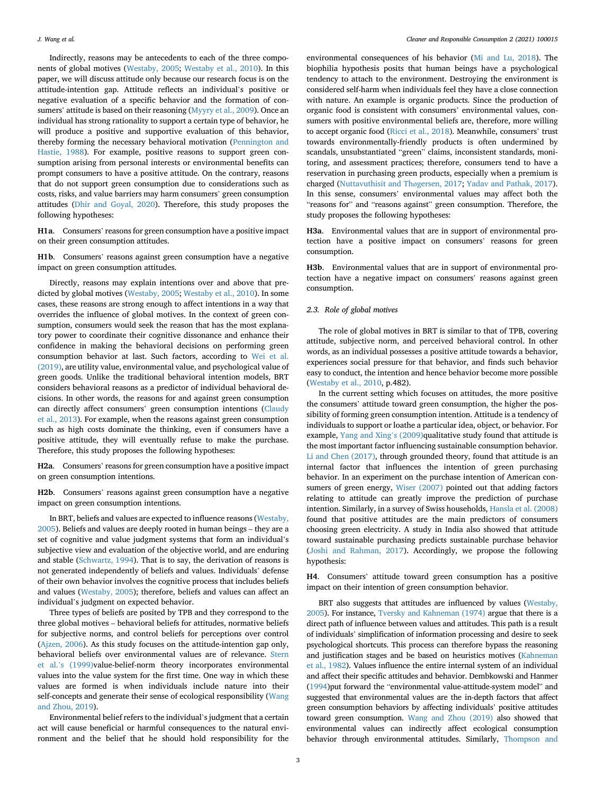Indirectly, reasons may be antecedents to each of the three components of global motives ([Westaby, 2005](#page-10-10); [Westaby et al., 2010\)](#page-10-11). In this paper, we will discuss attitude only because our research focus is on the attitude-intention gap. Attitude reflects an individual's positive or negative evaluation of a specific behavior and the formation of consumers' attitude is based on their reasoning [\(Myyry et al., 2009\)](#page-9-17). Once an individual has strong rationality to support a certain type of behavior, he will produce a positive and supportive evaluation of this behavior, thereby forming the necessary behavioral motivation ([Pennington and](#page-10-18) [Hastie, 1988](#page-10-18)). For example, positive reasons to support green consumption arising from personal interests or environmental benefits can prompt consumers to have a positive attitude. On the contrary, reasons that do not support green consumption due to considerations such as costs, risks, and value barriers may harm consumers' green consumption attitudes ([Dhir and Goyal, 2020\)](#page-9-18). Therefore, this study proposes the following hypotheses:

H1a. Consumers' reasons for green consumption have a positive impact on their green consumption attitudes.

H1b. Consumers' reasons against green consumption have a negative impact on green consumption attitudes.

Directly, reasons may explain intentions over and above that predicted by global motives ([Westaby, 2005](#page-10-10); [Westaby et al., 2010](#page-10-11)). In some cases, these reasons are strong enough to affect intentions in a way that overrides the influence of global motives. In the context of green consumption, consumers would seek the reason that has the most explanatory power to coordinate their cognitive dissonance and enhance their confidence in making the behavioral decisions on performing green consumption behavior at last. Such factors, according to [Wei et al.](#page-10-19) [\(2019\)](#page-10-19), are utility value, environmental value, and psychological value of green goods. Unlike the traditional behavioral intention models, BRT considers behavioral reasons as a predictor of individual behavioral decisions. In other words, the reasons for and against green consumption can directly affect consumers' green consumption intentions [\(Claudy](#page-9-4) [et al., 2013](#page-9-4)). For example, when the reasons against green consumption such as high costs dominate the thinking, even if consumers have a positive attitude, they will eventually refuse to make the purchase. Therefore, this study proposes the following hypotheses:

H2a. Consumers' reasons for green consumption have a positive impact on green consumption intentions.

H2b. Consumers' reasons against green consumption have a negative impact on green consumption intentions.

In BRT, beliefs and values are expected to influence reasons ([Westaby,](#page-10-10) [2005\)](#page-10-10). Beliefs and values are deeply rooted in human beings – they are a set of cognitive and value judgment systems that form an individual'<sup>s</sup> subjective view and evaluation of the objective world, and are enduring and stable [\(Schwartz, 1994](#page-10-20)). That is to say, the derivation of reasons is not generated independently of beliefs and values. Individuals' defense of their own behavior involves the cognitive process that includes beliefs and values ([Westaby, 2005](#page-10-10)); therefore, beliefs and values can affect an individual's judgment on expected behavior.

Three types of beliefs are posited by TPB and they correspond to the three global motives – behavioral beliefs for attitudes, normative beliefs for subjective norms, and control beliefs for perceptions over control ([Ajzen, 2006\)](#page-9-19). As this study focuses on the attitude-intention gap only, behavioral beliefs over environmental values are of relevance. [Stern](#page-10-21) et al.'[s \(1999\)](#page-10-21)value-belief-norm theory incorporates environmental values into the value system for the first time. One way in which these values are formed is when individuals include nature into their self-concepts and generate their sense of ecological responsibility ([Wang](#page-10-22) [and Zhou, 2019](#page-10-22)).

Environmental belief refers to the individual's judgment that a certain act will cause beneficial or harmful consequences to the natural environment and the belief that he should hold responsibility for the

environmental consequences of his behavior ([Mi and Lu, 2018\)](#page-9-20). The biophilia hypothesis posits that human beings have a psychological tendency to attach to the environment. Destroying the environment is considered self-harm when individuals feel they have a close connection with nature. An example is organic products. Since the production of organic food is consistent with consumers' environmental values, consumers with positive environmental beliefs are, therefore, more willing to accept organic food ([Ricci et al., 2018](#page-10-23)). Meanwhile, consumers' trust towards environmentally-friendly products is often undermined by scandals, unsubstantiated "green" claims, inconsistent standards, monitoring, and assessment practices; therefore, consumers tend to have a reservation in purchasing green products, especially when a premium is charged ([Nuttavuthisit and Th](#page-10-24)øgersen, 2017; [Yadav and Pathak, 2017\)](#page-10-25). In this sense, consumers' environmental values may affect both the "reasons for" and "reasons against" green consumption. Therefore, the study proposes the following hypotheses:

H3a. Environmental values that are in support of environmental protection have a positive impact on consumers' reasons for green consumption.

H3b. Environmental values that are in support of environmental protection have a negative impact on consumers' reasons against green consumption.

#### 2.3. Role of global motives

The role of global motives in BRT is similar to that of TPB, covering attitude, subjective norm, and perceived behavioral control. In other words, as an individual possesses a positive attitude towards a behavior, experiences social pressure for that behavior, and finds such behavior easy to conduct, the intention and hence behavior become more possible ([Westaby et al., 2010](#page-10-11), p.482).

In the current setting which focuses on attitudes, the more positive the consumers' attitude toward green consumption, the higher the possibility of forming green consumption intention. Attitude is a tendency of individuals to support or loathe a particular idea, object, or behavior. For example, [Yang and Xing](#page-10-26)'s (2009)qualitative study found that attitude is the most important factor influencing sustainable consumption behavior. [Li and Chen \(2017\)](#page-9-21), through grounded theory, found that attitude is an internal factor that influences the intention of green purchasing behavior. In an experiment on the purchase intention of American consumers of green energy, [Wiser \(2007\)](#page-10-27) pointed out that adding factors relating to attitude can greatly improve the prediction of purchase intention. Similarly, in a survey of Swiss households, [Hansla et al. \(2008\)](#page-9-22) found that positive attitudes are the main predictors of consumers choosing green electricity. A study in India also showed that attitude toward sustainable purchasing predicts sustainable purchase behavior ([Joshi and Rahman, 2017\)](#page-9-23). Accordingly, we propose the following hypothesis:

H4. Consumers' attitude toward green consumption has a positive impact on their intention of green consumption behavior.

BRT also suggests that attitudes are influenced by values ([Westaby,](#page-10-10) [2005](#page-10-10)). For instance, [Tversky and Kahneman \(1974\)](#page-10-28) argue that there is a direct path of influence between values and attitudes. This path is a result of individuals' simplification of information processing and desire to seek psychological shortcuts. This process can therefore bypass the reasoning and justification stages and be based on heuristics motives [\(Kahneman](#page-9-24) [et al., 1982\)](#page-9-24). Values influence the entire internal system of an individual and affect their specific attitudes and behavior. Dembkowski and Hanmer [\(1994](#page-9-25))put forward the "environmental value-attitude-system model" and suggested that environmental values are the in-depth factors that affect green consumption behaviors by affecting individuals' positive attitudes toward green consumption. [Wang and Zhou \(2019\)](#page-10-22) also showed that environmental values can indirectly affect ecological consumption behavior through environmental attitudes. Similarly, [Thompson and](#page-10-29)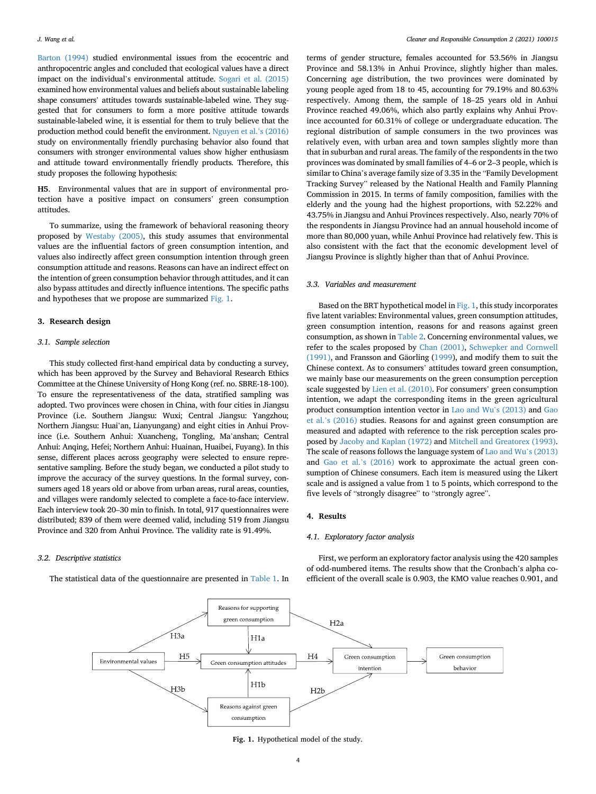[Barton \(1994\)](#page-10-29) studied environmental issues from the ecocentric and anthropocentric angles and concluded that ecological values have a direct impact on the individual's environmental attitude. [Sogari et al. \(2015\)](#page-10-30) examined how environmental values and beliefs about sustainable labeling shape consumers' attitudes towards sustainable-labeled wine. They suggested that for consumers to form a more positive attitude towards sustainable-labeled wine, it is essential for them to truly believe that the production method could benefit the environment. [Nguyen et al.](#page-9-26)'s (2016) study on environmentally friendly purchasing behavior also found that consumers with stronger environmental values show higher enthusiasm and attitude toward environmentally friendly products. Therefore, this study proposes the following hypothesis:

H5. Environmental values that are in support of environmental protection have a positive impact on consumers' green consumption attitudes.

To summarize, using the framework of behavioral reasoning theory proposed by [Westaby \(2005\),](#page-10-10) this study assumes that environmental values are the influential factors of green consumption intention, and values also indirectly affect green consumption intention through green consumption attitude and reasons. Reasons can have an indirect effect on the intention of green consumption behavior through attitudes, and it can also bypass attitudes and directly influence intentions. The specific paths and hypotheses that we propose are summarized [Fig. 1.](#page-4-0)

#### 3. Research design

#### 3.1. Sample selection

This study collected first-hand empirical data by conducting a survey, which has been approved by the Survey and Behavioral Research Ethics Committee at the Chinese University of Hong Kong (ref. no. SBRE-18-100). To ensure the representativeness of the data, stratified sampling was adopted. Two provinces were chosen in China, with four cities in Jiangsu Province (i.e. Southern Jiangsu: Wuxi; Central Jiangsu: Yangzhou; Northern Jiangsu: Huai'an, Lianyungang) and eight cities in Anhui Province (i.e. Southern Anhui: Xuancheng, Tongling, Ma'anshan; Central Anhui: Anqing, Hefei; Northern Anhui: Huainan, Huaibei, Fuyang). In this sense, different places across geography were selected to ensure representative sampling. Before the study began, we conducted a pilot study to improve the accuracy of the survey questions. In the formal survey, consumers aged 18 years old or above from urban areas, rural areas, counties, and villages were randomly selected to complete a face-to-face interview. Each interview took 20–30 min to finish. In total, 917 questionnaires were distributed; 839 of them were deemed valid, including 519 from Jiangsu Province and 320 from Anhui Province. The validity rate is 91.49%.

#### 3.2. Descriptive statistics

<span id="page-4-0"></span>The statistical data of the questionnaire are presented in [Table 1.](#page-5-0) In

terms of gender structure, females accounted for 53.56% in Jiangsu Province and 58.13% in Anhui Province, slightly higher than males. Concerning age distribution, the two provinces were dominated by young people aged from 18 to 45, accounting for 79.19% and 80.63% respectively. Among them, the sample of 18–25 years old in Anhui Province reached 49.06%, which also partly explains why Anhui Province accounted for 60.31% of college or undergraduate education. The regional distribution of sample consumers in the two provinces was relatively even, with urban area and town samples slightly more than that in suburban and rural areas. The family of the respondents in the two provinces was dominated by small families of 4–6 or 2–3 people, which is similar to China's average family size of 3.35 in the "Family Development Tracking Survey" released by the National Health and Family Planning Commission in 2015. In terms of family composition, families with the elderly and the young had the highest proportions, with 52.22% and 43.75% in Jiangsu and Anhui Provinces respectively. Also, nearly 70% of the respondents in Jiangsu Province had an annual household income of more than 80,000 yuan, while Anhui Province had relatively few. This is also consistent with the fact that the economic development level of Jiangsu Province is slightly higher than that of Anhui Province.

#### 3.3. Variables and measurement

Based on the BRT hypothetical model in [Fig. 1,](#page-4-0) this study incorporates five latent variables: Environmental values, green consumption attitudes, green consumption intention, reasons for and reasons against green consumption, as shown in [Table 2](#page-5-1). Concerning environmental values, we refer to the scales proposed by [Chan \(2001\)](#page-9-27), [Schwepker and Cornwell](#page-10-31)  $(1991)$ , and Fransson and Gäorling  $(1999)$  $(1999)$ , and modify them to suit the Chinese context. As to consumers' attitudes toward green consumption, we mainly base our measurements on the green consumption perception scale suggested by [Lien et al. \(2010\).](#page-9-29) For consumers' green consumption intention, we adapt the corresponding items in the green agricultural product consumption intention vector in [Lao and Wu](#page-9-30)'s (2013) and [Gao](#page-9-31) et al.'[s \(2016\)](#page-9-31) studies. Reasons for and against green consumption are measured and adapted with reference to the risk perception scales proposed by [Jacoby and Kaplan \(1972\)](#page-9-32) and [Mitchell and Greatorex \(1993\).](#page-9-33) The scale of reasons follows the language system of [Lao and Wu](#page-9-30)'s (2013) and [Gao et al.](#page-9-31)'s (2016) work to approximate the actual green consumption of Chinese consumers. Each item is measured using the Likert scale and is assigned a value from 1 to 5 points, which correspond to the five levels of "strongly disagree" to "strongly agree".

#### 4. Results

#### 4.1. Exploratory factor analysis

First, we perform an exploratory factor analysis using the 420 samples of odd-numbered items. The results show that the Cronbach's alpha coefficient of the overall scale is 0.903, the KMO value reaches 0.901, and



Fig. 1. Hypothetical model of the study.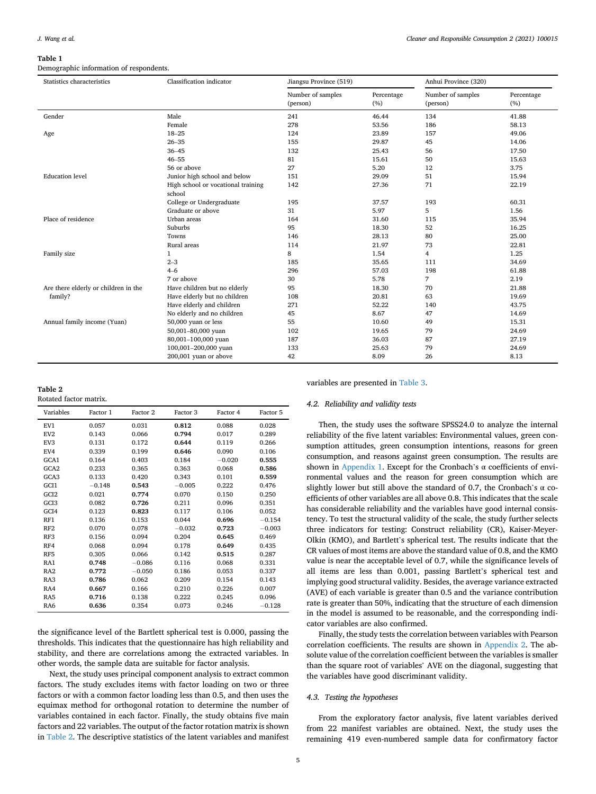#### <span id="page-5-0"></span>Table 1

Demographic information of respondents.

| Statistics characteristics           | Classification indicator                     | Jiangsu Province (519)        |                   | Anhui Province (320)          |                   |  |
|--------------------------------------|----------------------------------------------|-------------------------------|-------------------|-------------------------------|-------------------|--|
|                                      |                                              | Number of samples<br>(person) | Percentage<br>(%) | Number of samples<br>(person) | Percentage<br>(%) |  |
| Gender                               | Male                                         | 241                           | 46.44             | 134                           | 41.88             |  |
|                                      | Female                                       | 278                           | 53.56             | 186                           | 58.13             |  |
| Age                                  | $18 - 25$                                    | 124                           | 23.89             | 157                           | 49.06             |  |
|                                      | $26 - 35$                                    | 155                           | 29.87             | 45                            | 14.06             |  |
|                                      | $36 - 45$                                    | 132                           | 25.43             | 56                            | 17.50             |  |
|                                      | $46 - 55$                                    | 81                            | 15.61             | 50                            | 15.63             |  |
|                                      | 56 or above                                  | 27                            | 5.20              | 12                            | 3.75              |  |
| <b>Education</b> level               | Junior high school and below                 | 151                           | 29.09             | 51                            | 15.94             |  |
|                                      | High school or vocational training<br>school | 142                           | 27.36             | 71                            | 22.19             |  |
|                                      | College or Undergraduate                     | 195                           | 37.57             | 193                           | 60.31             |  |
|                                      | Graduate or above                            | 31                            | 5.97              | 5                             | 1.56              |  |
| Place of residence                   | Urban areas                                  | 164                           | 31.60             | 115                           | 35.94             |  |
|                                      | Suburbs                                      | 95                            | 18.30             | 52                            | 16.25             |  |
|                                      | Towns                                        | 146                           | 28.13             | 80                            | 25.00             |  |
|                                      | Rural areas                                  | 114                           | 21.97             | 73                            | 22.81             |  |
| Family size                          | 1                                            | 8                             | 1.54              | $\overline{4}$                | 1.25              |  |
|                                      | $2 - 3$                                      | 185                           | 35.65             | 111                           | 34.69             |  |
|                                      | $4 - 6$                                      | 296                           | 57.03             | 198                           | 61.88             |  |
|                                      | 7 or above                                   | 30                            | 5.78              | 7                             | 2.19              |  |
| Are there elderly or children in the | Have children but no elderly                 | 95                            | 18.30             | 70                            | 21.88             |  |
| family?                              | Have elderly but no children                 | 108                           | 20.81             | 63                            | 19.69             |  |
|                                      | Have elderly and children                    | 271                           | 52.22             | 140                           | 43.75             |  |
|                                      | No elderly and no children                   | 45                            | 8.67              | 47                            | 14.69             |  |
| Annual family income (Yuan)          | 50,000 yuan or less                          | 55                            | 10.60             | 49                            | 15.31             |  |
|                                      | 50,001-80,000 yuan                           | 102                           | 19.65             | 79                            | 24.69             |  |
|                                      | 80,001-100,000 yuan                          | 187                           | 36.03             | 87                            | 27.19             |  |
|                                      | 100,001-200,000 yuan                         | 133                           | 25.63             | 79                            | 24.69             |  |
|                                      | 200,001 yuan or above                        | 42                            | 8.09              | 26                            | 8.13              |  |

#### <span id="page-5-1"></span>Table 2

Rotated factor matrix.

| Variables        | Factor 1 | Factor 2 | Factor 3 | Factor 4 | Factor 5 |
|------------------|----------|----------|----------|----------|----------|
| EV1              | 0.057    | 0.031    | 0.812    | 0.088    | 0.028    |
| EV <sub>2</sub>  | 0.143    | 0.066    | 0.794    | 0.017    | 0.289    |
| EV <sub>3</sub>  | 0.131    | 0.172    | 0.644    | 0.119    | 0.266    |
| EV4              | 0.339    | 0.199    | 0.646    | 0.090    | 0.106    |
| GCA1             | 0.164    | 0.403    | 0.184    | $-0.020$ | 0.555    |
| GCA <sub>2</sub> | 0.233    | 0.365    | 0.363    | 0.068    | 0.586    |
| GCA <sub>3</sub> | 0.133    | 0.420    | 0.343    | 0.101    | 0.559    |
| GCI1             | $-0.148$ | 0.543    | $-0.005$ | 0.222    | 0.476    |
| GCI <sub>2</sub> | 0.021    | 0.774    | 0.070    | 0.150    | 0.250    |
| GCI <sub>3</sub> | 0.082    | 0.726    | 0.211    | 0.096    | 0.351    |
| GCI <sub>4</sub> | 0.123    | 0.823    | 0.117    | 0.106    | 0.052    |
| RF1              | 0.136    | 0.153    | 0.044    | 0.696    | $-0.154$ |
| RF <sub>2</sub>  | 0.070    | 0.078    | $-0.032$ | 0.723    | $-0.003$ |
| RF3              | 0.156    | 0.094    | 0.204    | 0.645    | 0.469    |
| RF4              | 0.068    | 0.094    | 0.178    | 0.649    | 0.435    |
| RF5              | 0.305    | 0.066    | 0.142    | 0.515    | 0.287    |
| RA1              | 0.748    | $-0.086$ | 0.116    | 0.068    | 0.331    |
| RA <sub>2</sub>  | 0.772    | $-0.050$ | 0.186    | 0.053    | 0.337    |
| RA3              | 0.786    | 0.062    | 0.209    | 0.154    | 0.143    |
| RA4              | 0.667    | 0.166    | 0.210    | 0.226    | 0.007    |
| RA5              | 0.716    | 0.138    | 0.222    | 0.245    | 0.096    |
| RA6              | 0.636    | 0.354    | 0.073    | 0.246    | $-0.128$ |

the significance level of the Bartlett spherical test is 0.000, passing the thresholds. This indicates that the questionnaire has high reliability and stability, and there are correlations among the extracted variables. In other words, the sample data are suitable for factor analysis.

Next, the study uses principal component analysis to extract common factors. The study excludes items with factor loading on two or three factors or with a common factor loading less than 0.5, and then uses the equimax method for orthogonal rotation to determine the number of variables contained in each factor. Finally, the study obtains five main factors and 22 variables. The output of the factor rotation matrix is shown in [Table 2.](#page-5-1) The descriptive statistics of the latent variables and manifest

variables are presented in [Table 3](#page-6-0).

#### 4.2. Reliability and validity tests

Then, the study uses the software SPSS24.0 to analyze the internal reliability of the five latent variables: Environmental values, green consumption attitudes, green consumption intentions, reasons for green consumption, and reasons against green consumption. The results are shown in [Appendix 1](#page-8-0). Except for the Cronbach's  $\alpha$  coefficients of environmental values and the reason for green consumption which are slightly lower but still above the standard of 0.7, the Cronbach's  $\alpha$  coefficients of other variables are all above 0.8. This indicates that the scale has considerable reliability and the variables have good internal consistency. To test the structural validity of the scale, the study further selects three indicators for testing: Construct reliability (CR), Kaiser-Meyer-Olkin (KMO), and Bartlett's spherical test. The results indicate that the CR values of most items are above the standard value of 0.8, and the KMO value is near the acceptable level of 0.7, while the significance levels of all items are less than 0.001, passing Bartlett's spherical test and implying good structural validity. Besides, the average variance extracted (AVE) of each variable is greater than 0.5 and the variance contribution rate is greater than 50%, indicating that the structure of each dimension in the model is assumed to be reasonable, and the corresponding indicator variables are also confirmed.

Finally, the study tests the correlation between variables with Pearson correlation coefficients. The results are shown in [Appendix 2](#page-9-34). The absolute value of the correlation coefficient between the variables is smaller than the square root of variables' AVE on the diagonal, suggesting that the variables have good discriminant validity.

#### 4.3. Testing the hypotheses

From the exploratory factor analysis, five latent variables derived from 22 manifest variables are obtained. Next, the study uses the remaining 419 even-numbered sample data for confirmatory factor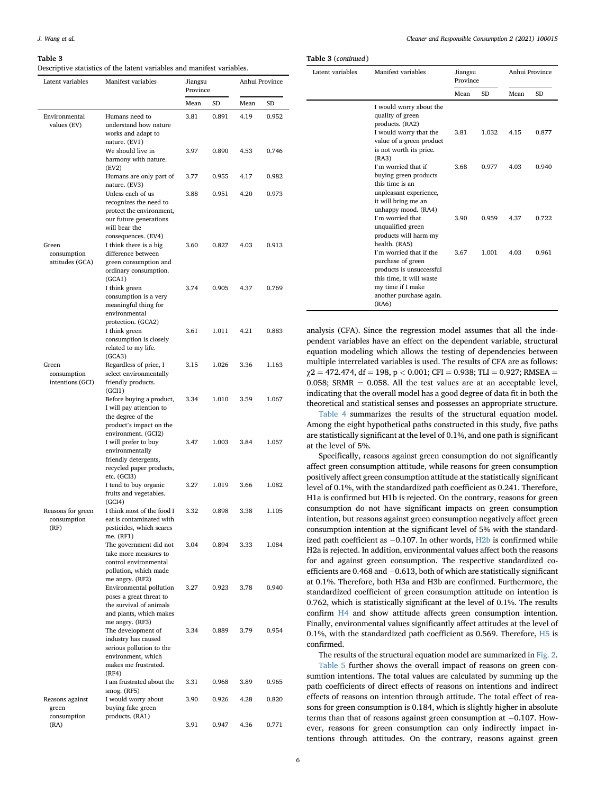#### <span id="page-6-0"></span>Table 3

Descriptive statistics of the latent variables and manifest variables.

| Latent variables                         | Manifest variables                                                                                                                        | Jiangsu<br>Province |       | Anhui Province |       |
|------------------------------------------|-------------------------------------------------------------------------------------------------------------------------------------------|---------------------|-------|----------------|-------|
|                                          |                                                                                                                                           | Mean                | SD    | Mean           | SD    |
| Environmental<br>values (EV)             | Humans need to<br>understand how nature<br>works and adapt to<br>nature. (EV1)                                                            | 3.81                | 0.891 | 4.19           | 0.952 |
|                                          | We should live in<br>harmony with nature.<br>(EV2)                                                                                        | 3.97                | 0.890 | 4.53           | 0.746 |
|                                          | Humans are only part of<br>nature. (EV3)                                                                                                  | 3.77                | 0.955 | 4.17           | 0.982 |
|                                          | Unless each of us<br>recognizes the need to<br>protect the environment,<br>our future generations<br>will bear the<br>consequences. (EV4) | 3.88                | 0.951 | 4.20           | 0.973 |
| Green<br>consumption<br>attitudes (GCA)  | I think there is a big<br>difference between<br>green consumption and<br>ordinary consumption.<br>(GCA1)                                  | 3.60                | 0.827 | 4.03           | 0.913 |
|                                          | I think green<br>consumption is a very<br>meaningful thing for<br>environmental<br>protection. (GCA2)                                     | 3.74                | 0.905 | 4.37           | 0.769 |
|                                          | I think green<br>consumption is closely<br>related to my life.<br>(GCA3)                                                                  | 3.61                | 1.011 | 4.21           | 0.883 |
| Green<br>consumption<br>intentions (GCI) | Regardless of price, I<br>select environmentally<br>friendly products.<br>(GCI1)                                                          | 3.15                | 1.026 | 3.36           | 1.163 |
|                                          | Before buying a product,<br>I will pay attention to<br>the degree of the<br>product's impact on the<br>environment. (GCI2)                | 3.34                | 1.010 | 3.59           | 1.067 |
|                                          | I will prefer to buy<br>environmentally<br>friendly detergents,<br>recycled paper products,<br>etc. (GCI3)                                | 3.47                | 1.003 | 3.84           | 1.057 |
|                                          | I tend to buy organic<br>fruits and vegetables.<br>(GCI4)                                                                                 | 3.27                | 1.019 | 3.66           | 1.082 |
| Reasons for green<br>consumption<br>(RF) | I think most of the food I<br>eat is contaminated with<br>pesticides, which scares<br>me. (RF1)                                           | 3.32                | 0.898 | 3.38           | 1.105 |
|                                          | The government did not<br>take more measures to<br>control environmental<br>pollution, which made<br>me angry. (RF2)                      | 3.04                | 0.894 | 3.33           | 1.084 |
|                                          | Environmental pollution<br>poses a great threat to<br>the survival of animals<br>and plants, which makes<br>me angry. (RF3)               | 3.27                | 0.923 | 3.78           | 0.940 |
|                                          | The development of<br>industry has caused<br>serious pollution to the<br>environment, which<br>makes me frustrated.<br>(RF4)              | 3.34                | 0.889 | 3.79           | 0.954 |
|                                          | I am frustrated about the<br>smog. (RF5)                                                                                                  | 3.31                | 0.968 | 3.89           | 0.965 |
| Reasons against<br>green<br>consumption  | I would worry about<br>buying fake green<br>products. (RA1)                                                                               | 3.90                | 0.926 | 4.28           | 0.820 |
| (RA)                                     |                                                                                                                                           | 3.91                | 0.947 | 4.36           | 0.771 |

Table 3 (continued )

| Latent variables | Manifest variables                                                                                                                                            | Jiangsu<br>Province |           | Anhui Province |           |
|------------------|---------------------------------------------------------------------------------------------------------------------------------------------------------------|---------------------|-----------|----------------|-----------|
|                  |                                                                                                                                                               | Mean                | <b>SD</b> | Mean           | <b>SD</b> |
|                  | I would worry about the<br>quality of green<br>products. (RA2)                                                                                                |                     |           |                |           |
|                  | I would worry that the<br>value of a green product<br>is not worth its price.<br>(RA3)                                                                        | 3.81                | 1.032     | 4.15           | 0.877     |
|                  | I'm worried that if<br>buying green products<br>this time is an<br>unpleasant experience,<br>it will bring me an<br>unhappy mood. (RA4)                       | 3.68                | 0.977     | 4.03           | 0.940     |
|                  | I'm worried that<br>unqualified green<br>products will harm my<br>health. (RA5)                                                                               | 3.90                | 0.959     | 4.37           | 0.722     |
|                  | I'm worried that if the<br>purchase of green<br>products is unsuccessful<br>this time, it will waste<br>my time if I make<br>another purchase again.<br>(RA6) | 3.67                | 1.001     | 4.03           | 0.961     |

analysis (CFA). Since the regression model assumes that all the independent variables have an effect on the dependent variable, structural equation modeling which allows the testing of dependencies between multiple interrelated variables is used. The results of CFA are as follows:  $\chi$ 2 = 472.474, df = 198, p < 0.001; CFI = 0.938; TLI = 0.927; RMSEA = 0.058; SRMR  $=$  0.058. All the test values are at an acceptable level, indicating that the overall model has a good degree of data fit in both the theoretical and statistical senses and possesses an appropriate structure.

[Table 4](#page-7-0) summarizes the results of the structural equation model. Among the eight hypothetical paths constructed in this study, five paths are statistically significant at the level of 0.1%, and one path is significant at the level of 5%.

Specifically, reasons against green consumption do not significantly affect green consumption attitude, while reasons for green consumption positively affect green consumption attitude at the statistically significant level of 0.1%, with the standardized path coefficient as 0.241. Therefore, H1a is confirmed but H1b is rejected. On the contrary, reasons for green consumption do not have significant impacts on green consumption intention, but reasons against green consumption negatively affect green consumption intention at the significant level of 5% with the standardized path coefficient as  $-0.107$ . In other words,  $H2b$  is confirmed while H2a is rejected. In addition, environmental values affect both the reasons for and against green consumption. The respective standardized coefficients are  $0.468$  and  $-0.613$ , both of which are statistically significant at 0.1%. Therefore, both H3a and H3b are confirmed. Furthermore, the standardized coefficient of green consumption attitude on intention is 0.762, which is statistically significant at the level of 0.1%. The results confirm H4 and show attitude affects green consumption intention. Finally, environmental values significantly affect attitudes at the level of 0.1%, with the standardized path coefficient as 0.569. Therefore, H5 is confirmed.

The results of the structural equation model are summarized in [Fig. 2.](#page-7-1)

[Table 5](#page-7-2) further shows the overall impact of reasons on green consumtion intentions. The total values are calculated by summing up the path coefficients of direct effects of reasons on intentions and indirect effects of reasons on intention through attitude. The total effect of reasons for green consumption is 0.184, which is slightly higher in absolute terms than that of reasons against green consumption at  $-0.107$ . However, reasons for green consumption can only indirectly impact intentions through attitudes. On the contrary, reasons against green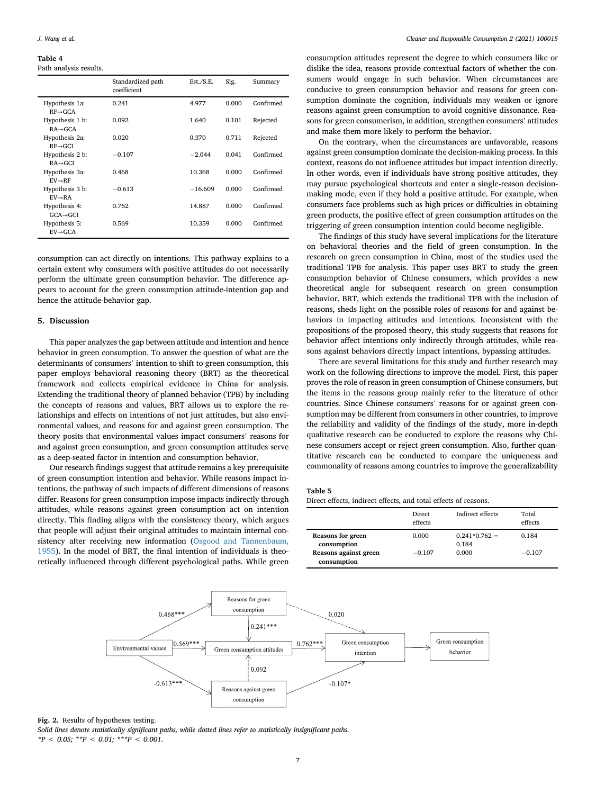#### <span id="page-7-0"></span>Table 4 Path analysis results.

|                                         | Standardized path<br>coefficient | Est./S.E. | Sig.  | Summary   |
|-----------------------------------------|----------------------------------|-----------|-------|-----------|
| Hypothesis 1a:<br>$RF \rightarrow GCA$  | 0.241                            | 4.977     | 0.000 | Confirmed |
| Hypothesis 1 b:<br>$RA \rightarrow GCA$ | 0.092                            | 1.640     | 0.101 | Rejected  |
| Hypothesis 2a:<br>$RF \rightarrow GCI$  | 0.020                            | 0.370     | 0.711 | Rejected  |
| Hypothesis 2 b:<br>$RA \rightarrow GCI$ | $-0.107$                         | $-2.044$  | 0.041 | Confirmed |
| Hypothesis 3a:<br>$EV \rightarrow RF$   | 0.468                            | 10.368    | 0.000 | Confirmed |
| Hypothesis 3 b:<br>$EV \rightarrow RA$  | $-0.613$                         | $-16.609$ | 0.000 | Confirmed |
| Hypothesis 4:<br>$GCA \rightarrow GCI$  | 0.762                            | 14.887    | 0.000 | Confirmed |
| Hypothesis 5:<br>$FV \rightarrow GCA$   | 0.569                            | 10.359    | 0.000 | Confirmed |

consumption can act directly on intentions. This pathway explains to a certain extent why consumers with positive attitudes do not necessarily perform the ultimate green consumption behavior. The difference appears to account for the green consumption attitude-intention gap and hence the attitude-behavior gap.

#### 5. Discussion

This paper analyzes the gap between attitude and intention and hence behavior in green consumption. To answer the question of what are the determinants of consumers' intention to shift to green consumption, this paper employs behavioral reasoning theory (BRT) as the theoretical framework and collects empirical evidence in China for analysis. Extending the traditional theory of planned behavior (TPB) by including the concepts of reasons and values, BRT allows us to explore the relationships and effects on intentions of not just attitudes, but also environmental values, and reasons for and against green consumption. The theory posits that environmental values impact consumers' reasons for and against green consumption, and green consumption attitudes serve as a deep-seated factor in intention and consumption behavior.

Our research findings suggest that attitude remains a key prerequisite of green consumption intention and behavior. While reasons impact intentions, the pathway of such impacts of different dimensions of reasons differ. Reasons for green consumption impose impacts indirectly through attitudes, while reasons against green consumption act on intention directly. This finding aligns with the consistency theory, which argues that people will adjust their original attitudes to maintain internal consistency after receiving new information [\(Osgood and Tannenbaum,](#page-10-32) [1955\)](#page-10-32). In the model of BRT, the final intention of individuals is theoretically influenced through different psychological paths. While green

consumption attitudes represent the degree to which consumers like or dislike the idea, reasons provide contextual factors of whether the consumers would engage in such behavior. When circumstances are conducive to green consumption behavior and reasons for green consumption dominate the cognition, individuals may weaken or ignore reasons against green consumption to avoid cognitive dissonance. Reasons for green consumerism, in addition, strengthen consumers' attitudes and make them more likely to perform the behavior.

On the contrary, when the circumstances are unfavorable, reasons against green consumption dominate the decision-making process. In this context, reasons do not influence attitudes but impact intention directly. In other words, even if individuals have strong positive attitudes, they may pursue psychological shortcuts and enter a single-reason decisionmaking mode, even if they hold a positive attitude. For example, when consumers face problems such as high prices or difficulties in obtaining green products, the positive effect of green consumption attitudes on the triggering of green consumption intention could become negligible.

The findings of this study have several implications for the literature on behavioral theories and the field of green consumption. In the research on green consumption in China, most of the studies used the traditional TPB for analysis. This paper uses BRT to study the green consumption behavior of Chinese consumers, which provides a new theoretical angle for subsequent research on green consumption behavior. BRT, which extends the traditional TPB with the inclusion of reasons, sheds light on the possible roles of reasons for and against behaviors in impacting attitudes and intentions. Inconsistent with the propositions of the proposed theory, this study suggests that reasons for behavior affect intentions only indirectly through attitudes, while reasons against behaviors directly impact intentions, bypassing attitudes.

There are several limitations for this study and further research may work on the following directions to improve the model. First, this paper proves the role of reason in green consumption of Chinese consumers, but the items in the reasons group mainly refer to the literature of other countries. Since Chinese consumers' reasons for or against green consumption may be different from consumers in other countries, to improve the reliability and validity of the findings of the study, more in-depth qualitative research can be conducted to explore the reasons why Chinese consumers accept or reject green consumption. Also, further quantitative research can be conducted to compare the uniqueness and commonality of reasons among countries to improve the generalizability

#### <span id="page-7-2"></span>Table 5

Direct effects, indirect effects, and total effects of reasons.

|                       | Direct<br>effects | Indirect effects | Total<br>effects |
|-----------------------|-------------------|------------------|------------------|
| Reasons for green     | 0.000             | $0.241*0.762=$   | 0.184            |
| consumption           |                   | 0.184            |                  |
| Reasons against green | $-0.107$          | 0.000            | $-0.107$         |
| consumption           |                   |                  |                  |

<span id="page-7-1"></span>

Fig. 2. Results of hypotheses testing.

Solid lines denote statistically significant paths, while dotted lines refer to statistically insignificant paths.  $*P < 0.05$ ;  $*P < 0.01$ ;  $*P < 0.001$ .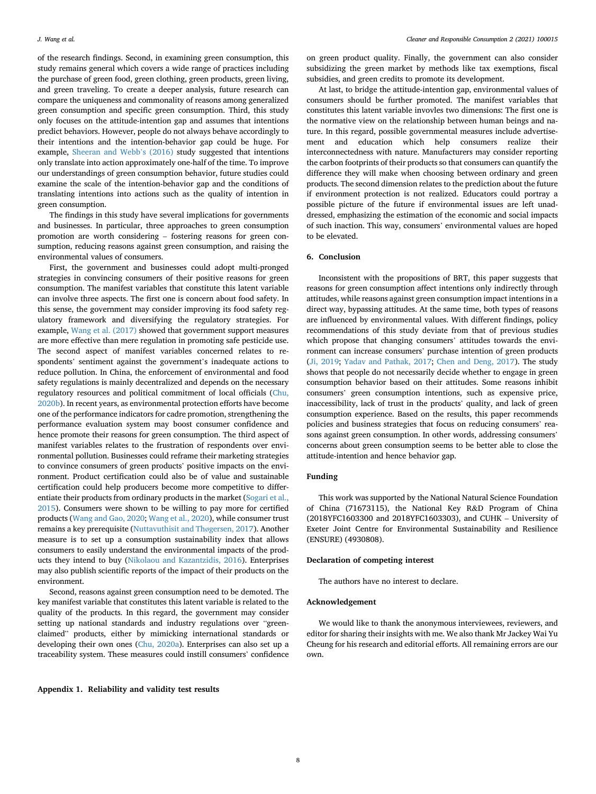of the research findings. Second, in examining green consumption, this study remains general which covers a wide range of practices including the purchase of green food, green clothing, green products, green living, and green traveling. To create a deeper analysis, future research can compare the uniqueness and commonality of reasons among generalized green consumption and specific green consumption. Third, this study only focuses on the attitude-intention gap and assumes that intentions predict behaviors. However, people do not always behave accordingly to their intentions and the intention-behavior gap could be huge. For example, [Sheeran and Webb](#page-10-33)'s (2016) study suggested that intentions only translate into action approximately one-half of the time. To improve our understandings of green consumption behavior, future studies could examine the scale of the intention-behavior gap and the conditions of translating intentions into actions such as the quality of intention in green consumption.

The findings in this study have several implications for governments and businesses. In particular, three approaches to green consumption promotion are worth considering – fostering reasons for green consumption, reducing reasons against green consumption, and raising the environmental values of consumers.

First, the government and businesses could adopt multi-pronged strategies in convincing consumers of their positive reasons for green consumption. The manifest variables that constitute this latent variable can involve three aspects. The first one is concern about food safety. In this sense, the government may consider improving its food safety regulatory framework and diversifying the regulatory strategies. For example, [Wang et al. \(2017\)](#page-10-34) showed that government support measures are more effective than mere regulation in promoting safe pesticide use. The second aspect of manifest variables concerned relates to respondents' sentiment against the government's inadequate actions to reduce pollution. In China, the enforcement of environmental and food safety regulations is mainly decentralized and depends on the necessary regulatory resources and political commitment of local officials ([Chu,](#page-9-35) [2020b\)](#page-9-35). In recent years, as environmental protection efforts have become one of the performance indicators for cadre promotion, strengthening the performance evaluation system may boost consumer confidence and hence promote their reasons for green consumption. The third aspect of manifest variables relates to the frustration of respondents over environmental pollution. Businesses could reframe their marketing strategies to convince consumers of green products' positive impacts on the environment. Product certification could also be of value and sustainable certification could help producers become more competitive to differentiate their products from ordinary products in the market [\(Sogari et al.,](#page-10-30) [2015\)](#page-10-30). Consumers were shown to be willing to pay more for certified products ([Wang and Gao, 2020;](#page-10-35) [Wang et al., 2020](#page-10-36)), while consumer trust remains a key prerequisite [\(Nuttavuthisit and Th](#page-10-24)øgersen, 2017). Another measure is to set up a consumption sustainability index that allows consumers to easily understand the environmental impacts of the products they intend to buy ([Nikolaou and Kazantzidis, 2016\)](#page-10-37). Enterprises may also publish scientific reports of the impact of their products on the environment.

Second, reasons against green consumption need to be demoted. The key manifest variable that constitutes this latent variable is related to the quality of the products. In this regard, the government may consider setting up national standards and industry regulations over "greenclaimed" products, either by mimicking international standards or developing their own ones [\(Chu, 2020a\)](#page-9-36). Enterprises can also set up a traceability system. These measures could instill consumers' confidence

<span id="page-8-0"></span>Appendix 1. Reliability and validity test results

on green product quality. Finally, the government can also consider subsidizing the green market by methods like tax exemptions, fiscal subsidies, and green credits to promote its development.

At last, to bridge the attitude-intention gap, environmental values of consumers should be further promoted. The manifest variables that constitutes this latent variable invovles two dimensions: The first one is the normative view on the relationship between human beings and nature. In this regard, possible governmental measures include advertisement and education which help consumers realize their interconnectedness with nature. Manufacturers may consider reporting the carbon footprints of their products so that consumers can quantify the difference they will make when choosing between ordinary and green products. The second dimension relates to the prediction about the future if environment protection is not realized. Educators could portray a possible picture of the future if environmental issues are left unaddressed, emphasizing the estimation of the economic and social impacts of such inaction. This way, consumers' environmental values are hoped to be elevated.

#### 6. Conclusion

Inconsistent with the propositions of BRT, this paper suggests that reasons for green consumption affect intentions only indirectly through attitudes, while reasons against green consumption impact intentions in a direct way, bypassing attitudes. At the same time, both types of reasons are influenced by environmental values. With different findings, policy recommendations of this study deviate from that of previous studies which propose that changing consumers' attitudes towards the environment can increase consumers' purchase intention of green products ([Ji, 2019;](#page-9-37) [Yadav and Pathak, 2017](#page-10-25); [Chen and Deng, 2017](#page-9-38)). The study shows that people do not necessarily decide whether to engage in green consumption behavior based on their attitudes. Some reasons inhibit consumers' green consumption intentions, such as expensive price, inaccessibility, lack of trust in the products' quality, and lack of green consumption experience. Based on the results, this paper recommends policies and business strategies that focus on reducing consumers' reasons against green consumption. In other words, addressing consumers' concerns about green consumption seems to be better able to close the attitude-intention and hence behavior gap.

#### Funding

This work was supported by the National Natural Science Foundation of China (71673115), the National Key R&D Program of China (2018YFC1603300 and 2018YFC1603303), and CUHK – University of Exeter Joint Centre for Environmental Sustainability and Resilience (ENSURE) (4930808).

#### Declaration of competing interest

The authors have no interest to declare.

#### Acknowledgement

We would like to thank the anonymous interviewees, reviewers, and editor for sharing their insights with me. We also thank Mr Jackey Wai Yu Cheung for his research and editorial efforts. All remaining errors are our own.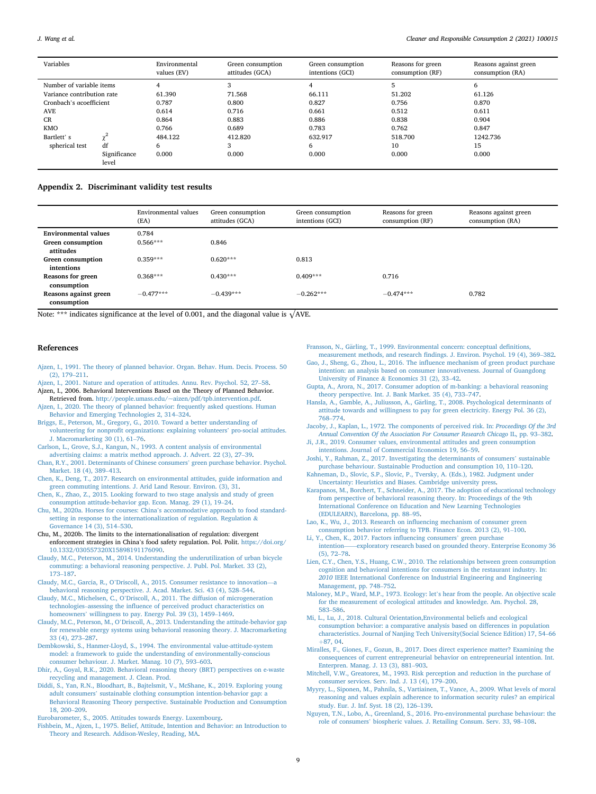| Variables                       |                       | Environmental<br>values (EV) | Green consumption<br>attitudes (GCA) | Green consumption<br>intentions (GCI) | Reasons for green<br>consumption (RF) | Reasons against green<br>consumption (RA) |
|---------------------------------|-----------------------|------------------------------|--------------------------------------|---------------------------------------|---------------------------------------|-------------------------------------------|
| Number of variable items        |                       |                              | 3                                    |                                       | 5                                     | 6                                         |
| Variance contribution rate      |                       | 61.390                       | 71.568                               | 66.111                                | 51.202                                | 61.126                                    |
| Cronbach's <i>g</i> coefficient |                       | 0.787                        | 0.800                                | 0.827                                 | 0.756                                 | 0.870                                     |
| <b>AVE</b>                      |                       | 0.614                        | 0.716                                | 0.661                                 | 0.512                                 | 0.611                                     |
| CR                              |                       | 0.864                        | 0.883                                | 0.886                                 | 0.838                                 | 0.904                                     |
| <b>KMO</b>                      |                       | 0.766                        | 0.689                                | 0.783                                 | 0.762                                 | 0.847                                     |
| Bartlett's                      |                       | 484.122                      | 412.820                              | 632.917                               | 518.700                               | 1242.736                                  |
| spherical test                  | df                    | 6                            | 3                                    | 6                                     | 10                                    | 15                                        |
|                                 | Significance<br>level | 0.000                        | 0.000                                | 0.000                                 | 0.000                                 | 0.000                                     |

#### Appendix 2. Discriminant validity test results

|                                      | Environmental values<br>(EA) | Green consumption<br>attitudes (GCA) | Green consumption<br>intentions (GCI) | Reasons for green<br>consumption (RF) | Reasons against green<br>consumption (RA) |
|--------------------------------------|------------------------------|--------------------------------------|---------------------------------------|---------------------------------------|-------------------------------------------|
| <b>Environmental values</b>          | 0.784                        |                                      |                                       |                                       |                                           |
| Green consumption<br>attitudes       | $0.566***$                   | 0.846                                |                                       |                                       |                                           |
| Green consumption<br>intentions      | $0.359***$                   | $0.620***$                           | 0.813                                 |                                       |                                           |
| Reasons for green<br>consumption     | $0.368***$                   | $0.430***$                           | $0.409***$                            | 0.716                                 |                                           |
| Reasons against green<br>consumption | $-0.477***$                  | $-0.439***$                          | $-0.262***$                           | $-0.474***$                           | 0.782                                     |

Note: \*\*\* indicates significance at the level of 0.001, and the diagonal value is  $\sqrt{AVE}$ .

#### <span id="page-9-34"></span>References

- <span id="page-9-3"></span>[Ajzen, I., 1991. The theory of planned behavior. Organ. Behav. Hum. Decis. Process. 50](http://refhub.elsevier.com/S2666-7843(21)00009-7/sref1) [\(2\), 179](http://refhub.elsevier.com/S2666-7843(21)00009-7/sref1)–[211.](http://refhub.elsevier.com/S2666-7843(21)00009-7/sref1)
- <span id="page-9-16"></span>[Ajzen, I., 2001. Nature and operation of attitudes. Annu. Rev. Psychol. 52, 27](http://refhub.elsevier.com/S2666-7843(21)00009-7/sref2)–[58.](http://refhub.elsevier.com/S2666-7843(21)00009-7/sref2)
- <span id="page-9-19"></span>Ajzen, I., 2006. Behavioral Interventions Based on the Theory of Planned Behavior. Retrieved from. [http://people.umass.edu/~aizen/pdf/tpb.intervention.pdf](http://people.umass.edu/%7Eaizen/pdf/tpb.intervention.pdf).
- <span id="page-9-7"></span>[Ajzen, I., 2020. The theory of planned behavior: frequently asked questions. Human](http://refhub.elsevier.com/S2666-7843(21)00009-7/sref4) [Behavior and Emerging Technologies 2, 314](http://refhub.elsevier.com/S2666-7843(21)00009-7/sref4)–[324](http://refhub.elsevier.com/S2666-7843(21)00009-7/sref4).
- <span id="page-9-9"></span>[Briggs, E., Peterson, M., Gregory, G., 2010. Toward a better understanding of](http://refhub.elsevier.com/S2666-7843(21)00009-7/sref5) volunteering for nonprofi[t organizations: explaining volunteers](http://refhub.elsevier.com/S2666-7843(21)00009-7/sref5)' pro-social attitudes. [J. Macromarketing 30 \(1\), 61](http://refhub.elsevier.com/S2666-7843(21)00009-7/sref5)–[76.](http://refhub.elsevier.com/S2666-7843(21)00009-7/sref5)
- <span id="page-9-0"></span>[Carlson, L., Grove, S.J., Kangun, N., 1993. A content analysis of environmental](http://refhub.elsevier.com/S2666-7843(21)00009-7/sref6) [advertising claims: a matrix method approach. J. Advert. 22 \(3\), 27](http://refhub.elsevier.com/S2666-7843(21)00009-7/sref6)–[39](http://refhub.elsevier.com/S2666-7843(21)00009-7/sref6).
- <span id="page-9-27"></span>[Chan, R.Y., 2001. Determinants of Chinese consumers](http://refhub.elsevier.com/S2666-7843(21)00009-7/sref7)' green purchase behavior. Psychol. [Market. 18 \(4\), 389](http://refhub.elsevier.com/S2666-7843(21)00009-7/sref7)–[413.](http://refhub.elsevier.com/S2666-7843(21)00009-7/sref7)
- <span id="page-9-38"></span>[Chen, K., Deng, T., 2017. Research on environmental attitudes, guide information and](http://refhub.elsevier.com/S2666-7843(21)00009-7/sref8) [green commuting intentions. J. Arid Land Resour. Environ. \(3\), 31](http://refhub.elsevier.com/S2666-7843(21)00009-7/sref8).
- <span id="page-9-2"></span>[Chen, K., Zhao, Z., 2015. Looking forward to two stage analysis and study of green](http://refhub.elsevier.com/S2666-7843(21)00009-7/sref9) [consumption attitude-behavior gap. Econ. Manag. 29 \(1\), 19](http://refhub.elsevier.com/S2666-7843(21)00009-7/sref9)–[24.](http://refhub.elsevier.com/S2666-7843(21)00009-7/sref9)
- <span id="page-9-36"></span>Chu, M., 2020a. Horses for courses: China'[s accommodative approach to food standard](http://refhub.elsevier.com/S2666-7843(21)00009-7/sref10)[setting in response to the internationalization of regulation. Regulation](http://refhub.elsevier.com/S2666-7843(21)00009-7/sref10) & [Governance 14 \(3\), 514](http://refhub.elsevier.com/S2666-7843(21)00009-7/sref10)–[530](http://refhub.elsevier.com/S2666-7843(21)00009-7/sref10).
- <span id="page-9-35"></span>Chu, M., 2020b. The limits to the internationalisation of regulation: divergent enforcement strategies in China's food safety regulation. Pol. Polit. [https://doi.org/](https://doi.org/10.1332/030557320X15898191176090) [10.1332/030557320X15898191176090](https://doi.org/10.1332/030557320X15898191176090).
- <span id="page-9-8"></span>[Claudy, M.C., Peterson, M., 2014. Understanding the underutilization of urban bicycle](http://refhub.elsevier.com/S2666-7843(21)00009-7/sref12) [commuting: a behavioral reasoning perspective. J. Publ. Pol. Market. 33 \(2\),](http://refhub.elsevier.com/S2666-7843(21)00009-7/sref12) [173](http://refhub.elsevier.com/S2666-7843(21)00009-7/sref12)–[187](http://refhub.elsevier.com/S2666-7843(21)00009-7/sref12).
- <span id="page-9-10"></span>Claudy, M.C., Garcia, R., O'[Driscoll, A., 2015. Consumer resistance to innovation](http://refhub.elsevier.com/S2666-7843(21)00009-7/sref13)—[a](http://refhub.elsevier.com/S2666-7843(21)00009-7/sref13) [behavioral reasoning perspective. J. Acad. Market. Sci. 43 \(4\), 528](http://refhub.elsevier.com/S2666-7843(21)00009-7/sref13)–[544.](http://refhub.elsevier.com/S2666-7843(21)00009-7/sref13)
- <span id="page-9-6"></span>Claudy, M.C., Michelsen, C., O'[Driscoll, A., 2011. The diffusion of microgeneration](http://refhub.elsevier.com/S2666-7843(21)00009-7/sref14) [technologies](http://refhub.elsevier.com/S2666-7843(21)00009-7/sref14)–assessing the infl[uence of perceived product characteristics on](http://refhub.elsevier.com/S2666-7843(21)00009-7/sref14) homeowners' [willingness to pay. Energy Pol. 39 \(3\), 1459](http://refhub.elsevier.com/S2666-7843(21)00009-7/sref14)–[1469](http://refhub.elsevier.com/S2666-7843(21)00009-7/sref14).
- <span id="page-9-4"></span>Claudy, M.C., Peterson, M., O'[Driscoll, A., 2013. Understanding the attitude-behavior gap](http://refhub.elsevier.com/S2666-7843(21)00009-7/sref15) [for renewable energy systems using behavioral reasoning theory. J. Macromarketing](http://refhub.elsevier.com/S2666-7843(21)00009-7/sref15) [33 \(4\), 273](http://refhub.elsevier.com/S2666-7843(21)00009-7/sref15)–[287.](http://refhub.elsevier.com/S2666-7843(21)00009-7/sref15)
- <span id="page-9-25"></span>[Dembkowski, S., Hanmer-Lloyd, S., 1994. The environmental value-attitude-system](http://refhub.elsevier.com/S2666-7843(21)00009-7/sref16) [model: a framework to guide the understanding of environmentally-conscious](http://refhub.elsevier.com/S2666-7843(21)00009-7/sref16) [consumer behaviour. J. Market. Manag. 10 \(7\), 593](http://refhub.elsevier.com/S2666-7843(21)00009-7/sref16)–[603](http://refhub.elsevier.com/S2666-7843(21)00009-7/sref16).
- <span id="page-9-18"></span>[Dhir, A., Goyal, R.K., 2020. Behavioral reasoning theory \(BRT\) perspectives on e-waste](http://refhub.elsevier.com/S2666-7843(21)00009-7/sref17) [recycling and management. J. Clean. Prod.](http://refhub.elsevier.com/S2666-7843(21)00009-7/sref17)
- <span id="page-9-14"></span>[Diddi, S., Yan, R.N., Bloodhart, B., Bajtelsmit, V., McShane, K., 2019. Exploring young](http://refhub.elsevier.com/S2666-7843(21)00009-7/sref18) adult consumers' [sustainable clothing consumption intention-behavior gap: a](http://refhub.elsevier.com/S2666-7843(21)00009-7/sref18) [Behavioral Reasoning Theory perspective. Sustainable Production and Consumption](http://refhub.elsevier.com/S2666-7843(21)00009-7/sref18) [18, 200](http://refhub.elsevier.com/S2666-7843(21)00009-7/sref18)–[209](http://refhub.elsevier.com/S2666-7843(21)00009-7/sref18).
- <span id="page-9-5"></span>[Eurobarometer, S., 2005. Attitudes towards Energy. Luxembourg.](http://refhub.elsevier.com/S2666-7843(21)00009-7/sref19)
- <span id="page-9-15"></span>[Fishbein, M., Ajzen, I., 1975. Belief, Attitude, Intention and Behavior: an Introduction to](http://refhub.elsevier.com/S2666-7843(21)00009-7/sref20) [Theory and Research. Addison-Wesley, Reading, MA](http://refhub.elsevier.com/S2666-7843(21)00009-7/sref20).

<span id="page-9-28"></span>[Fransson, N., G](http://refhub.elsevier.com/S2666-7843(21)00009-7/sref21)ä[rling, T., 1999. Environmental concern: conceptual de](http://refhub.elsevier.com/S2666-7843(21)00009-7/sref21)finitions,

- <span id="page-9-31"></span>measurement methods, and research fi[ndings. J. Environ. Psychol. 19 \(4\), 369](http://refhub.elsevier.com/S2666-7843(21)00009-7/sref21)–[382.](http://refhub.elsevier.com/S2666-7843(21)00009-7/sref21) Gao, J., Sheng, G., Zhou, L., 2016. The infl[uence mechanism of green product purchase](http://refhub.elsevier.com/S2666-7843(21)00009-7/sref22) [intention: an analysis based on consumer innovativeness. Journal of Guangdong](http://refhub.elsevier.com/S2666-7843(21)00009-7/sref22)
- [University of Finance](http://refhub.elsevier.com/S2666-7843(21)00009-7/sref22) & [Economics 31 \(2\), 33](http://refhub.elsevier.com/S2666-7843(21)00009-7/sref22)–[42](http://refhub.elsevier.com/S2666-7843(21)00009-7/sref22). [Gupta, A., Arora, N., 2017. Consumer adoption of m-banking: a behavioral reasoning](http://refhub.elsevier.com/S2666-7843(21)00009-7/sref23)
- <span id="page-9-12"></span>[theory perspective. Int. J. Bank Market. 35 \(4\), 733](http://refhub.elsevier.com/S2666-7843(21)00009-7/sref23)–[747](http://refhub.elsevier.com/S2666-7843(21)00009-7/sref23).
- <span id="page-9-22"></span>[Hansla, A., Gamble, A., Juliusson, A., G](http://refhub.elsevier.com/S2666-7843(21)00009-7/sref24)ä[rling, T., 2008. Psychological determinants of](http://refhub.elsevier.com/S2666-7843(21)00009-7/sref24) [attitude towards and willingness to pay for green electricity. Energy Pol. 36 \(2\),](http://refhub.elsevier.com/S2666-7843(21)00009-7/sref24) [768](http://refhub.elsevier.com/S2666-7843(21)00009-7/sref24)–[774](http://refhub.elsevier.com/S2666-7843(21)00009-7/sref24).
- <span id="page-9-32"></span>[Jacoby, J., Kaplan, L., 1972. The components of perceived risk. In:](http://refhub.elsevier.com/S2666-7843(21)00009-7/sref25) Proceedings Of the 3rd [Annual Convention Of the Association For Consumer Research Chicago](http://refhub.elsevier.com/S2666-7843(21)00009-7/sref25) IL, pp. 93–[382](http://refhub.elsevier.com/S2666-7843(21)00009-7/sref25).
- <span id="page-9-37"></span>[Ji, J.R., 2019. Consumer values, environmental attitudes and green consumption](http://refhub.elsevier.com/S2666-7843(21)00009-7/sref26) [intentions. Journal of Commercial Economics 19, 56](http://refhub.elsevier.com/S2666-7843(21)00009-7/sref26)–[59.](http://refhub.elsevier.com/S2666-7843(21)00009-7/sref26)
- <span id="page-9-23"></span>[Joshi, Y., Rahman, Z., 2017. Investigating the determinants of consumers](http://refhub.elsevier.com/S2666-7843(21)00009-7/sref27)' sustainable [purchase behaviour. Sustainable Production and consumption 10, 110](http://refhub.elsevier.com/S2666-7843(21)00009-7/sref27)–[120](http://refhub.elsevier.com/S2666-7843(21)00009-7/sref27).
- <span id="page-9-24"></span>[Kahneman, D., Slovic, S.P., Slovic, P., Tversky, A. \(Eds.\), 1982. Judgment under](http://refhub.elsevier.com/S2666-7843(21)00009-7/sref28) [Uncertainty: Heuristics and Biases. Cambridge university press.](http://refhub.elsevier.com/S2666-7843(21)00009-7/sref28)
- <span id="page-9-13"></span>[Karapanos, M., Borchert, T., Schneider, A., 2017. The adoption of educational technology](http://refhub.elsevier.com/S2666-7843(21)00009-7/sref29) [from perspective of behavioral reasoning theory. In: Proceedings of the 9th](http://refhub.elsevier.com/S2666-7843(21)00009-7/sref29) [International Conference on Education and New Learning Technologies](http://refhub.elsevier.com/S2666-7843(21)00009-7/sref29) [\(EDULEARN\), Barcelona, pp. 88](http://refhub.elsevier.com/S2666-7843(21)00009-7/sref29)–[95.](http://refhub.elsevier.com/S2666-7843(21)00009-7/sref29)
- <span id="page-9-30"></span>Lao, K., Wu, J., 2013. Research on infl[uencing mechanism of consumer green](http://refhub.elsevier.com/S2666-7843(21)00009-7/sref30) [consumption behavior referring to TPB. Finance Econ. 2013 \(2\), 91](http://refhub.elsevier.com/S2666-7843(21)00009-7/sref30)–[100](http://refhub.elsevier.com/S2666-7843(21)00009-7/sref30).
- <span id="page-9-21"></span>[Li, Y., Chen, K., 2017. Factors in](http://refhub.elsevier.com/S2666-7843(21)00009-7/sref31)fluencing consumers' green purchase [intention](http://refhub.elsevier.com/S2666-7843(21)00009-7/sref31)——[exploratory research based on grounded theory. Enterprise Economy 36](http://refhub.elsevier.com/S2666-7843(21)00009-7/sref31) [\(5\), 72](http://refhub.elsevier.com/S2666-7843(21)00009-7/sref31)–[78](http://refhub.elsevier.com/S2666-7843(21)00009-7/sref31).
- <span id="page-9-29"></span>[Lien, C.Y., Chen, Y.S., Huang, C.W., 2010. The relationships between green consumption](http://refhub.elsevier.com/S2666-7843(21)00009-7/sref32) [cognition and behavioral intentions for consumers in the restaurant industry. In:](http://refhub.elsevier.com/S2666-7843(21)00009-7/sref32) 2010 [IEEE International Conference on Industrial Engineering and Engineering](http://refhub.elsevier.com/S2666-7843(21)00009-7/sref32) [Management, pp. 748](http://refhub.elsevier.com/S2666-7843(21)00009-7/sref32)–[752](http://refhub.elsevier.com/S2666-7843(21)00009-7/sref32).
- <span id="page-9-1"></span>[Maloney, M.P., Ward, M.P., 1973. Ecology: let](http://refhub.elsevier.com/S2666-7843(21)00009-7/sref33)'s hear from the people. An objective scale [for the measurement of ecological attitudes and knowledge. Am. Psychol. 28,](http://refhub.elsevier.com/S2666-7843(21)00009-7/sref33) [583](http://refhub.elsevier.com/S2666-7843(21)00009-7/sref33)–[586](http://refhub.elsevier.com/S2666-7843(21)00009-7/sref33).
- <span id="page-9-20"></span>[Mi, L., Lu, J., 2018. Cultural Orientation,Environmental beliefs and ecological](http://refhub.elsevier.com/S2666-7843(21)00009-7/sref34) [consumption behavior: a comparative analysis based on differences in population](http://refhub.elsevier.com/S2666-7843(21)00009-7/sref34) [characteristics. Journal of Nanjing Tech University\(Social Science Edition\) 17, 54](http://refhub.elsevier.com/S2666-7843(21)00009-7/sref34)–[66](http://refhub.elsevier.com/S2666-7843(21)00009-7/sref34)  $+87, 04.$  $+87, 04.$
- <span id="page-9-11"></span>[Miralles, F., Giones, F., Gozun, B., 2017. Does direct experience matter? Examining the](http://refhub.elsevier.com/S2666-7843(21)00009-7/sref35) [consequences of current entrepreneurial behavior on entrepreneurial intention. Int.](http://refhub.elsevier.com/S2666-7843(21)00009-7/sref35) [Enterpren. Manag. J. 13 \(3\), 881](http://refhub.elsevier.com/S2666-7843(21)00009-7/sref35)–[903.](http://refhub.elsevier.com/S2666-7843(21)00009-7/sref35)
- <span id="page-9-33"></span>[Mitchell, V.W., Greatorex, M., 1993. Risk perception and reduction in the purchase of](http://refhub.elsevier.com/S2666-7843(21)00009-7/sref36) [consumer services. Serv. Ind. J. 13 \(4\), 179](http://refhub.elsevier.com/S2666-7843(21)00009-7/sref36)–[200.](http://refhub.elsevier.com/S2666-7843(21)00009-7/sref36)
- <span id="page-9-17"></span>[Myyry, L., Siponen, M., Pahnila, S., Vartiainen, T., Vance, A., 2009. What levels of moral](http://refhub.elsevier.com/S2666-7843(21)00009-7/sref37) [reasoning and values explain adherence to information security rules? an empirical](http://refhub.elsevier.com/S2666-7843(21)00009-7/sref37) [study. Eur. J. Inf. Syst. 18 \(2\), 126](http://refhub.elsevier.com/S2666-7843(21)00009-7/sref37)–[139.](http://refhub.elsevier.com/S2666-7843(21)00009-7/sref37)
- <span id="page-9-26"></span>[Nguyen, T.N., Lobo, A., Greenland, S., 2016. Pro-environmental purchase behaviour: the](http://refhub.elsevier.com/S2666-7843(21)00009-7/sref38) role of consumers' [biospheric values. J. Retailing Consum. Serv. 33, 98](http://refhub.elsevier.com/S2666-7843(21)00009-7/sref38)–[108](http://refhub.elsevier.com/S2666-7843(21)00009-7/sref38).